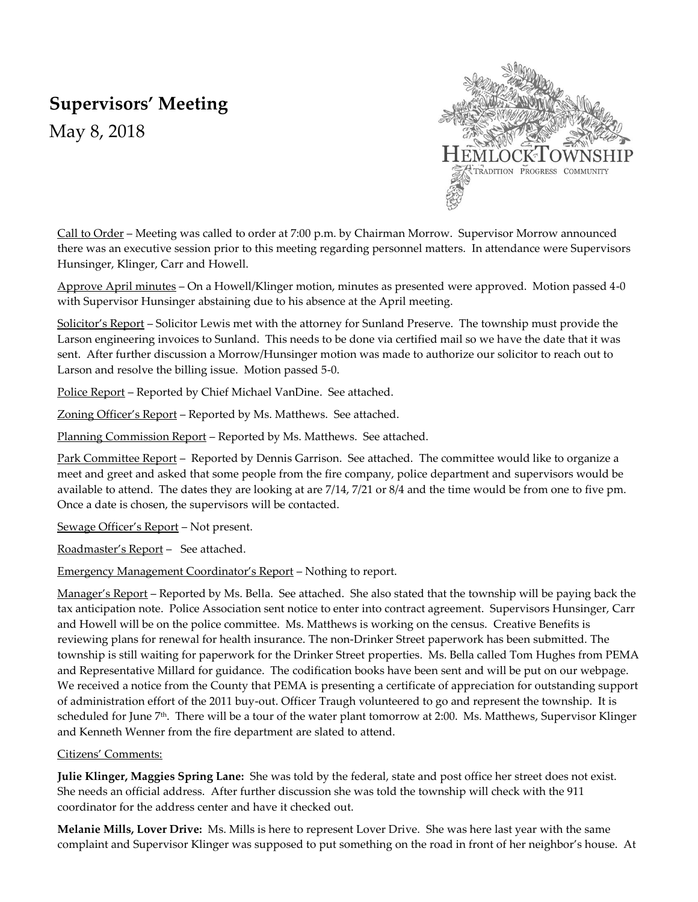# **Supervisors' Meeting**

May 8, 2018



Call to Order – Meeting was called to order at 7:00 p.m. by Chairman Morrow. Supervisor Morrow announced there was an executive session prior to this meeting regarding personnel matters. In attendance were Supervisors Hunsinger, Klinger, Carr and Howell.

Approve April minutes – On a Howell/Klinger motion, minutes as presented were approved. Motion passed 4-0 with Supervisor Hunsinger abstaining due to his absence at the April meeting.

Solicitor's Report – Solicitor Lewis met with the attorney for Sunland Preserve. The township must provide the Larson engineering invoices to Sunland. This needs to be done via certified mail so we have the date that it was sent. After further discussion a Morrow/Hunsinger motion was made to authorize our solicitor to reach out to Larson and resolve the billing issue. Motion passed 5-0.

Police Report – Reported by Chief Michael VanDine. See attached.

Zoning Officer's Report – Reported by Ms. Matthews. See attached.

Planning Commission Report - Reported by Ms. Matthews. See attached.

Park Committee Report – Reported by Dennis Garrison. See attached. The committee would like to organize a meet and greet and asked that some people from the fire company, police department and supervisors would be available to attend. The dates they are looking at are 7/14, 7/21 or 8/4 and the time would be from one to five pm. Once a date is chosen, the supervisors will be contacted.

Sewage Officer's Report – Not present.

Roadmaster's Report – See attached.

Emergency Management Coordinator's Report – Nothing to report.

Manager's Report – Reported by Ms. Bella. See attached. She also stated that the township will be paying back the tax anticipation note. Police Association sent notice to enter into contract agreement. Supervisors Hunsinger, Carr and Howell will be on the police committee. Ms. Matthews is working on the census. Creative Benefits is reviewing plans for renewal for health insurance. The non-Drinker Street paperwork has been submitted. The township is still waiting for paperwork for the Drinker Street properties. Ms. Bella called Tom Hughes from PEMA and Representative Millard for guidance. The codification books have been sent and will be put on our webpage. We received a notice from the County that PEMA is presenting a certificate of appreciation for outstanding support of administration effort of the 2011 buy-out. Officer Traugh volunteered to go and represent the township. It is scheduled for June 7<sup>th</sup>. There will be a tour of the water plant tomorrow at 2:00. Ms. Matthews, Supervisor Klinger and Kenneth Wenner from the fire department are slated to attend.

#### Citizens' Comments:

**Julie Klinger, Maggies Spring Lane:** She was told by the federal, state and post office her street does not exist. She needs an official address. After further discussion she was told the township will check with the 911 coordinator for the address center and have it checked out.

**Melanie Mills, Lover Drive:** Ms. Mills is here to represent Lover Drive. She was here last year with the same complaint and Supervisor Klinger was supposed to put something on the road in front of her neighbor's house. At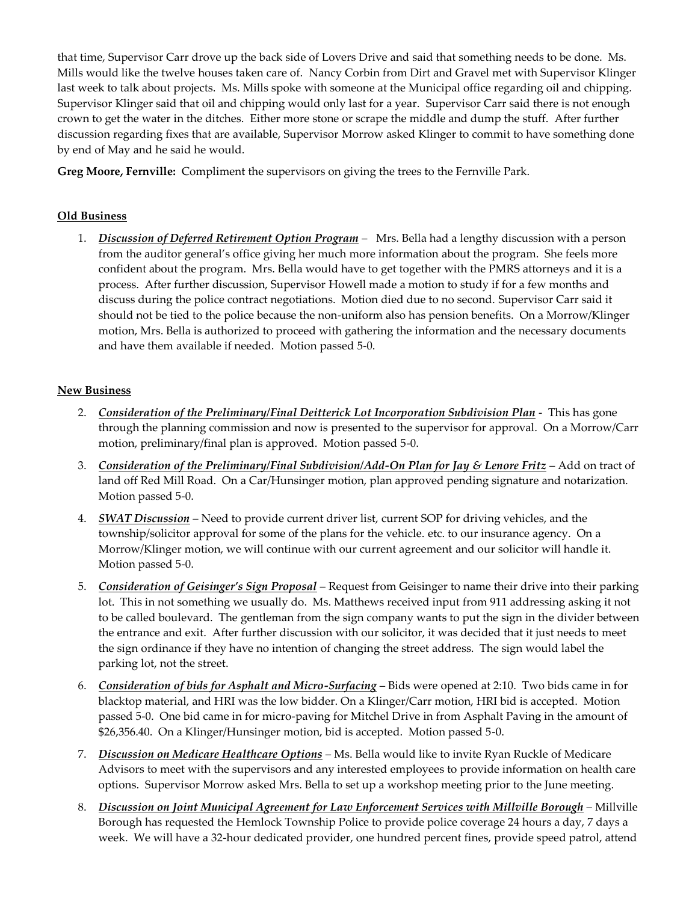that time, Supervisor Carr drove up the back side of Lovers Drive and said that something needs to be done. Ms. Mills would like the twelve houses taken care of. Nancy Corbin from Dirt and Gravel met with Supervisor Klinger last week to talk about projects. Ms. Mills spoke with someone at the Municipal office regarding oil and chipping. Supervisor Klinger said that oil and chipping would only last for a year. Supervisor Carr said there is not enough crown to get the water in the ditches. Either more stone or scrape the middle and dump the stuff. After further discussion regarding fixes that are available, Supervisor Morrow asked Klinger to commit to have something done by end of May and he said he would.

**Greg Moore, Fernville:** Compliment the supervisors on giving the trees to the Fernville Park.

## **Old Business**

1. *Discussion of Deferred Retirement Option Program* – Mrs. Bella had a lengthy discussion with a person from the auditor general's office giving her much more information about the program. She feels more confident about the program. Mrs. Bella would have to get together with the PMRS attorneys and it is a process. After further discussion, Supervisor Howell made a motion to study if for a few months and discuss during the police contract negotiations. Motion died due to no second. Supervisor Carr said it should not be tied to the police because the non-uniform also has pension benefits. On a Morrow/Klinger motion, Mrs. Bella is authorized to proceed with gathering the information and the necessary documents and have them available if needed. Motion passed 5-0.

### **New Business**

- 2. *Consideration of the Preliminary/Final Deitterick Lot Incorporation Subdivision Plan* This has gone through the planning commission and now is presented to the supervisor for approval.On a Morrow/Carr motion, preliminary/final plan is approved. Motion passed 5-0.
- 3. *Consideration of the Preliminary/Final Subdivision/Add-On Plan for Jay & Lenore Fritz* Add on tract of land off Red Mill Road. On a Car/Hunsinger motion, plan approved pending signature and notarization. Motion passed 5-0.
- 4. *SWAT Discussion* Need to provide current driver list, current SOP for driving vehicles, and the township/solicitor approval for some of the plans for the vehicle. etc. to our insurance agency. On a Morrow/Klinger motion, we will continue with our current agreement and our solicitor will handle it. Motion passed 5-0.
- 5. *Consideration of Geisinger's Sign Proposal* Request from Geisinger to name their drive into their parking lot. This in not something we usually do. Ms. Matthews received input from 911 addressing asking it not to be called boulevard. The gentleman from the sign company wants to put the sign in the divider between the entrance and exit. After further discussion with our solicitor, it was decided that it just needs to meet the sign ordinance if they have no intention of changing the street address. The sign would label the parking lot, not the street.
- 6. *Consideration of bids for Asphalt and Micro-Surfacing* Bids were opened at 2:10. Two bids came in for blacktop material, and HRI was the low bidder. On a Klinger/Carr motion, HRI bid is accepted. Motion passed 5-0. One bid came in for micro-paving for Mitchel Drive in from Asphalt Paving in the amount of \$26,356.40. On a Klinger/Hunsinger motion, bid is accepted. Motion passed 5-0.
- 7. *Discussion on Medicare Healthcare Options* Ms. Bella would like to invite Ryan Ruckle of Medicare Advisors to meet with the supervisors and any interested employees to provide information on health care options. Supervisor Morrow asked Mrs. Bella to set up a workshop meeting prior to the June meeting.
- 8. *Discussion on Joint Municipal Agreement for Law Enforcement Services with Millville Borough* Millville Borough has requested the Hemlock Township Police to provide police coverage 24 hours a day, 7 days a week. We will have a 32-hour dedicated provider, one hundred percent fines, provide speed patrol, attend